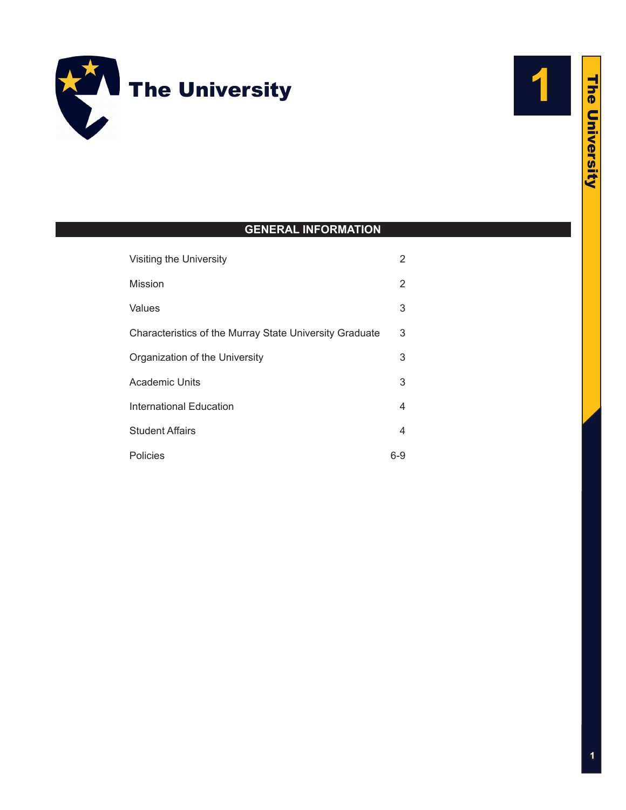



# **GENERAL INFORMATION**

| Visiting the University                                 | 2   |
|---------------------------------------------------------|-----|
| Mission                                                 | 2   |
| Values                                                  | 3   |
| Characteristics of the Murray State University Graduate | 3   |
| Organization of the University                          | 3   |
| Academic Units                                          | 3   |
| <b>International Education</b>                          | 4   |
| <b>Student Affairs</b>                                  | 4   |
| Policies                                                | 6-9 |

# **The University** The University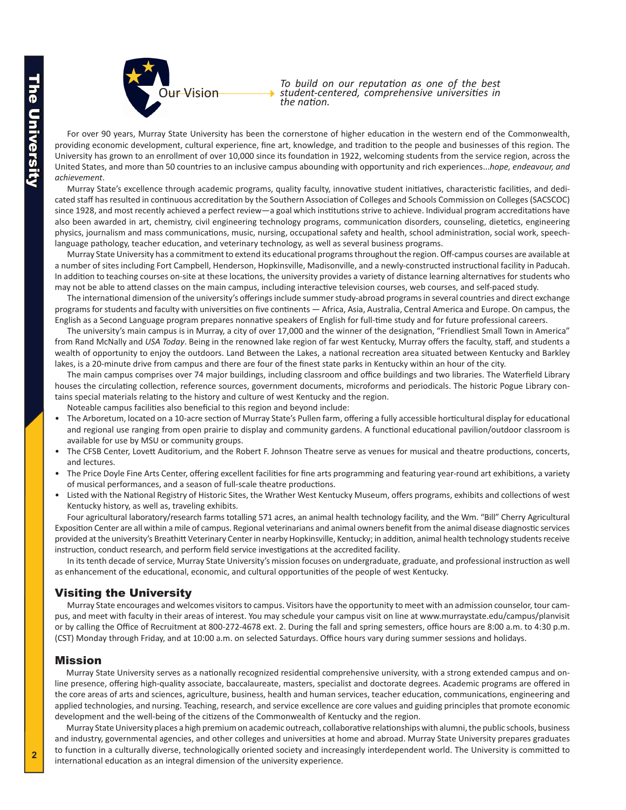<span id="page-1-0"></span>

*To build on our reputation as one of the best student-centered, comprehensive universities in the nation.*

For over 90 years, Murray State University has been the cornerstone of higher education in the western end of the Commonwealth, providing economic development, cultural experience, fine art, knowledge, and tradition to the people and businesses of this region. The University has grown to an enrollment of over 10,000 since its foundation in 1922, welcoming students from the service region, across the United States, and more than 50 countries to an inclusive campus abounding with opportunity and rich experiences...*hope, endeavour, and achievement*.

Murray State's excellence through academic programs, quality faculty, innovative student initiatives, characteristic facilities, and dedicated staff has resulted in continuous accreditation by the Southern Association of Colleges and Schools Commission on Colleges (SACSCOC) since 1928, and most recently achieved a perfect review—a goal which institutions strive to achieve. Individual program accreditations have also been awarded in art, chemistry, civil engineering technology programs, communication disorders, counseling, dietetics, engineering physics, journalism and mass communications, music, nursing, occupational safety and health, school administration, social work, speechlanguage pathology, teacher education, and veterinary technology, as well as several business programs.

Murray State University has a commitment to extend its educational programs throughout the region. Off-campus courses are available at a number of sites including Fort Campbell, Henderson, Hopkinsville, Madisonville, and a newly-constructed instructional facility in Paducah. In addition to teaching courses on-site at these locations, the university provides a variety of distance learning alternatives for students who may not be able to attend classes on the main campus, including interactive television courses, web courses, and self-paced study.

The international dimension of the university's offerings include summer study-abroad programs in several countries and direct exchange programs for students and faculty with universities on five continents — Africa, Asia, Australia, Central America and Europe. On campus, the English as a Second Language program prepares nonnative speakers of English for full-time study and for future professional careers.

The university's main campus is in Murray, a city of over 17,000 and the winner of the designation, "Friendliest Small Town in America" from Rand McNally and *USA Today*. Being in the renowned lake region of far west Kentucky, Murray offers the faculty, staff, and students a wealth of opportunity to enjoy the outdoors. Land Between the Lakes, a national recreation area situated between Kentucky and Barkley lakes, is a 20-minute drive from campus and there are four of the finest state parks in Kentucky within an hour of the city.

The main campus comprises over 74 major buildings, including classroom and office buildings and two libraries. The Waterfield Library houses the circulating collection, reference sources, government documents, microforms and periodicals. The historic Pogue Library contains special materials relating to the history and culture of west Kentucky and the region.

Noteable campus facilities also beneficial to this region and beyond include:

- The Arboretum, located on a 10-acre section of Murray State's Pullen farm, offering a fully accessible horticultural display for educational and regional use ranging from open prairie to display and community gardens. A functional educational pavilion/outdoor classroom is available for use by MSU or community groups.
- The CFSB Center, Lovett Auditorium, and the Robert F. Johnson Theatre serve as venues for musical and theatre productions, concerts, and lectures.
- The Price Doyle Fine Arts Center, offering excellent facilities for fine arts programming and featuring year-round art exhibitions, a variety of musical performances, and a season of full-scale theatre productions.
- Listed with the National Registry of Historic Sites, the Wrather West Kentucky Museum, offers programs, exhibits and collections of west Kentucky history, as well as, traveling exhibits.

Four agricultural laboratory/research farms totalling 571 acres, an animal health technology facility, and the Wm. "Bill" Cherry Agricultural Exposition Center are all within a mile of campus. Regional veterinarians and animal owners benefit from the animal disease diagnostic services provided at the university's Breathitt Veterinary Center in nearby Hopkinsville, Kentucky; in addition, animal health technology students receive instruction, conduct research, and perform field service investigations at the accredited facility.

In its tenth decade of service, Murray State University's mission focuses on undergraduate, graduate, and professional instruction as well as enhancement of the educational, economic, and cultural opportunities of the people of west Kentucky.

# Visiting the University

Murray State encourages and welcomes visitors to campus. Visitors have the opportunity to meet with an admission counselor, tour campus, and meet with faculty in their areas of interest. You may schedule your campus visit on line at [www.murraystate.edu/campus/planvisit](www.murraystate.edu/campus/planvisit ) or by calling the Office of Recruitment at 800-272-4678 ext. 2. During the fall and spring semesters, office hours are 8:00 a.m. to 4:30 p.m. (CST) Monday through Friday, and at 10:00 a.m. on selected Saturdays. Office hours vary during summer sessions and holidays.

### Mission

Murray State University serves as a nationally recognized residential comprehensive university, with a strong extended campus and online presence, offering high-quality associate, baccalaureate, masters, specialist and doctorate degrees. Academic programs are offered in the core areas of arts and sciences, agriculture, business, health and human services, teacher education, communications, engineering and applied technologies, and nursing. Teaching, research, and service excellence are core values and guiding principles that promote economic development and the well-being of the citizens of the Commonwealth of Kentucky and the region.

Murray State University places a high premium on academic outreach, collaborative relationships with alumni, the public schools, business and industry, governmental agencies, and other colleges and universities at home and abroad. Murray State University prepares graduates to function in a culturally diverse, technologically oriented society and increasingly interdependent world. The University is committed to international education as an integral dimension of the university experience.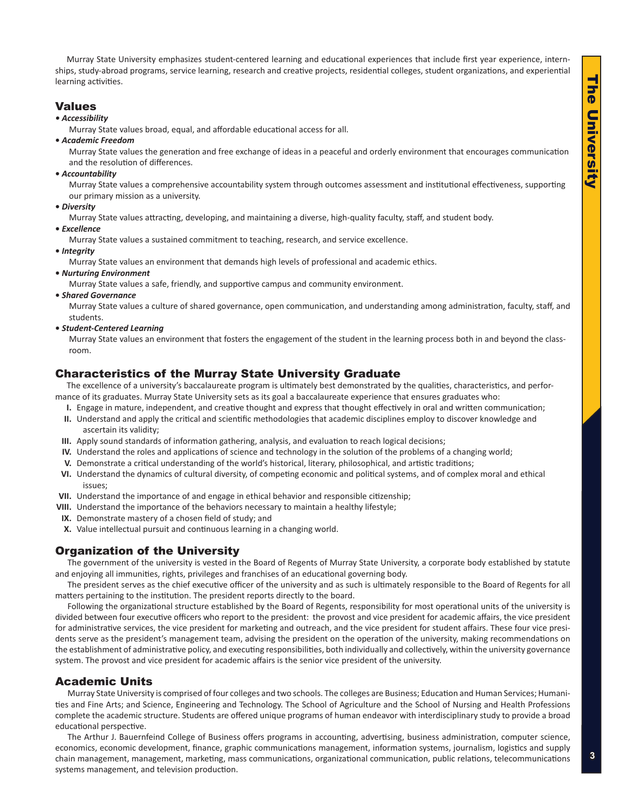<span id="page-2-0"></span>Murray State University emphasizes student-centered learning and educational experiences that include first year experience, internships, study-abroad programs, service learning, research and creative projects, residential colleges, student organizations, and experiential learning activities.

# Values

### *• Accessibility*

Murray State values broad, equal, and affordable educational access for all.

**•** *Academic Freedom*

Murray State values the generation and free exchange of ideas in a peaceful and orderly environment that encourages communication and the resolution of differences.

**•** *Accountability*

Murray State values a comprehensive accountability system through outcomes assessment and institutional effectiveness, supporting our primary mission as a university.

**•** *Diversity*

Murray State values attracting, developing, and maintaining a diverse, high-quality faculty, staff, and student body.

**•** *Excellence*

Murray State values a sustained commitment to teaching, research, and service excellence.

**•** *Integrity*

Murray State values an environment that demands high levels of professional and academic ethics.

**•** *Nurturing Environment*

Murray State values a safe, friendly, and supportive campus and community environment.

**•** *Shared Governance*

Murray State values a culture of shared governance, open communication, and understanding among administration, faculty, staff, and students.

**•** *Student-Centered Learning*

Murray State values an environment that fosters the engagement of the student in the learning process both in and beyond the classroom.

# Characteristics of the Murray State University Graduate

The excellence of a university's baccalaureate program is ultimately best demonstrated by the qualities, characteristics, and performance of its graduates. Murray State University sets as its goal a baccalaureate experience that ensures graduates who:

- **I.** Engage in mature, independent, and creative thought and express that thought effectively in oral and written communication;
- **II.** Understand and apply the critical and scientific methodologies that academic disciplines employ to discover knowledge and ascertain its validity;
- **III.** Apply sound standards of information gathering, analysis, and evaluation to reach logical decisions;
- **IV.** Understand the roles and applications of science and technology in the solution of the problems of a changing world;
- **V.** Demonstrate a critical understanding of the world's historical, literary, philosophical, and artistic traditions;
- **VI.** Understand the dynamics of cultural diversity, of competing economic and political systems, and of complex moral and ethical issues;
- **VII.** Understand the importance of and engage in ethical behavior and responsible citizenship;
- **VIII.** Understand the importance of the behaviors necessary to maintain a healthy lifestyle;
- **IX.** Demonstrate mastery of a chosen field of study; and
- **X.** Value intellectual pursuit and continuous learning in a changing world.

# Organization of the University

The government of the university is vested in the Board of Regents of Murray State University, a corporate body established by statute and enjoying all immunities, rights, privileges and franchises of an educational governing body.

The president serves as the chief executive officer of the university and as such is ultimately responsible to the Board of Regents for all matters pertaining to the institution. The president reports directly to the board.

Following the organizational structure established by the Board of Regents, responsibility for most operational units of the university is divided between four executive officers who report to the president: the provost and vice president for academic affairs, the vice president for administrative services, the vice president for marketing and outreach, and the vice president for student affairs. These four vice presidents serve as the president's management team, advising the president on the operation of the university, making recommendations on the establishment of administrative policy, and executing responsibilities, both individually and collectively, within the university governance system. The provost and vice president for academic affairs is the senior vice president of the university.

# Academic Units

Murray State University is comprised of four colleges and two schools. The colleges are Business; Education and Human Services; Humanities and Fine Arts; and Science, Engineering and Technology. The School of Agriculture and the School of Nursing and Health Professions complete the academic structure. Students are offered unique programs of human endeavor with interdisciplinary study to provide a broad educational perspective.

The Arthur J. Bauernfeind College of Business offers programs in accounting, advertising, business administration, computer science, economics, economic development, finance, graphic communications management, information systems, journalism, logistics and supply chain management, management, marketing, mass communications, organizational communication, public relations, telecommunications systems management, and television production.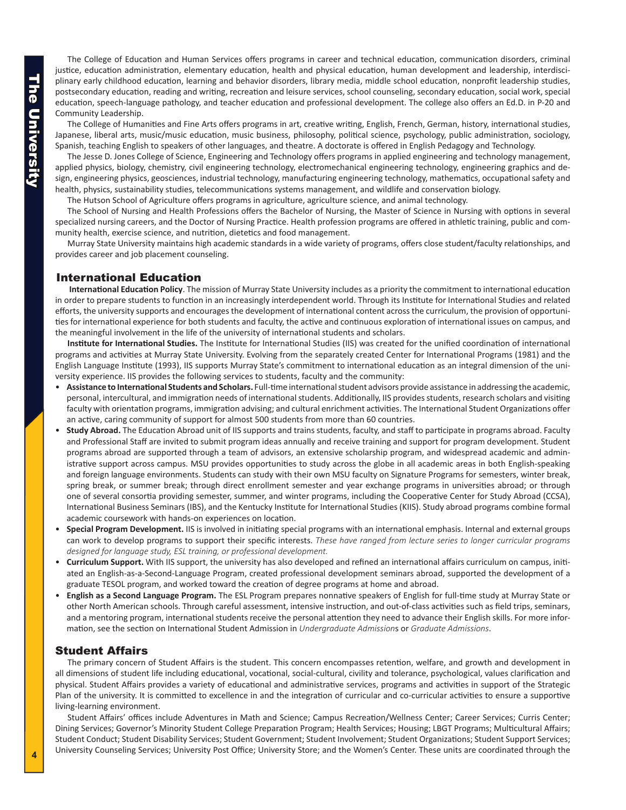<span id="page-3-0"></span>The College of Education and Human Services offers programs in career and technical education, communication disorders, criminal justice, education administration, elementary education, health and physical education, human development and leadership, interdisciplinary early childhood education, learning and behavior disorders, library media, middle school education, nonprofit leadership studies, postsecondary education, reading and writing, recreation and leisure services, school counseling, secondary education, social work, special education, speech-language pathology, and teacher education and professional development. The college also offers an Ed.D. in P-20 and Community Leadership.

The College of Humanities and Fine Arts offers programs in art, creative writing, English, French, German, history, international studies, Japanese, liberal arts, music/music education, music business, philosophy, political science, psychology, public administration, sociology, Spanish, teaching English to speakers of other languages, and theatre. A doctorate is offered in English Pedagogy and Technology.

The Jesse D. Jones College of Science, Engineering and Technology offers programs in applied engineering and technology management, applied physics, biology, chemistry, civil engineering technology, electromechanical engineering technology, engineering graphics and design, engineering physics, geosciences, industrial technology, manufacturing engineering technology, mathematics, occupational safety and health, physics, sustainability studies, telecommunications systems management, and wildlife and conservation biology.

The Hutson School of Agriculture offers programs in agriculture, agriculture science, and animal technology.

The School of Nursing and Health Professions offers the Bachelor of Nursing, the Master of Science in Nursing with options in several specialized nursing careers, and the Doctor of Nursing Practice. Health profession programs are offered in athletic training, public and community health, exercise science, and nutrition, dietetics and food management.

Murray State University maintains high academic standards in a wide variety of programs, offers close student/faculty relationships, and provides career and job placement counseling.

# International Education

**International Education Policy**. The mission of Murray State University includes as a priority the commitment to international education in order to prepare students to function in an increasingly interdependent world. Through its Institute for International Studies and related efforts, the university supports and encourages the development of international content across the curriculum, the provision of opportunities for international experience for both students and faculty, the active and continuous exploration of international issues on campus, and the meaningful involvement in the life of the university of international students and scholars.

**Institute for International Studies.** The Institute for International Studies (IIS) was created for the unified coordination of international programs and activities at Murray State University. Evolving from the separately created Center for International Programs (1981) and the English Language Institute (1993), IIS supports Murray State's commitment to international education as an integral dimension of the university experience. IIS provides the following services to students, faculty and the community:

- Assistance to International Students and Scholars. Full-time international student advisors provide assistance in addressing the academic, personal, intercultural, and immigration needs of international students. Additionally, IIS provides students, research scholars and visiting faculty with orientation programs, immigration advising; and cultural enrichment activities. The International Student Organizations offer an active, caring community of support for almost 500 students from more than 60 countries.
- • **Study Abroad.** The Education Abroad unit of IIS supports and trains students, faculty, and staff to participate in programs abroad. Faculty and Professional Staff are invited to submit program ideas annually and receive training and support for program development. Student programs abroad are supported through a team of advisors, an extensive scholarship program, and widespread academic and administrative support across campus. MSU provides opportunities to study across the globe in all academic areas in both English-speaking and foreign language environments. Students can study with their own MSU faculty on Signature Programs for semesters, winter break, spring break, or summer break; through direct enrollment semester and year exchange programs in universities abroad; or through one of several consortia providing semester, summer, and winter programs, including the Cooperative Center for Study Abroad (CCSA), International Business Seminars (IBS), and the Kentucky Institute for International Studies (KIIS). Study abroad programs combine formal academic coursework with hands-on experiences on location.
- **Special Program Development.** IIS is involved in initiating special programs with an international emphasis. Internal and external groups can work to develop programs to support their specific interests. *These have ranged from lecture series to longer curricular programs designed for language study, ESL training, or professional development.*
- • **Curriculum Support.** With IIS support, the university has also developed and refined an international affairs curriculum on campus, initiated an English-as-a-Second-Language Program, created professional development seminars abroad, supported the development of a graduate TESOL program, and worked toward the creation of degree programs at home and abroad.
- English as a Second Language Program. The ESL Program prepares nonnative speakers of English for full-time study at Murray State or other North American schools. Through careful assessment, intensive instruction, and out-of-class activities such as field trips, seminars, and a mentoring program, international students receive the personal attention they need to advance their English skills. For more information, see the section on International Student Admission in *Undergraduate Admission*s or *Graduate Admissions*.

# Student Affairs

The primary concern of Student Affairs is the student. This concern encompasses retention, welfare, and growth and development in all dimensions of student life including educational, vocational, social-cultural, civility and tolerance, psychological, values clarification and physical. Student Affairs provides a variety of educational and administrative services, programs and activities in support of the Strategic Plan of the university. It is committed to excellence in and the integration of curricular and co-curricular activities to ensure a supportive living-learning environment.

Student Affairs' offices include Adventures in Math and Science; Campus Recreation/Wellness Center; Career Services; Curris Center; Dining Services; Governor's Minority Student College Preparation Program; Health Services; Housing; LBGT Programs; Multicultural Affairs; Student Conduct; Student Disability Services; Student Government; Student Involvement; Student Organizations; Student Support Services; University Counseling Services; University Post Office; University Store; and the Women's Center. These units are coordinated through the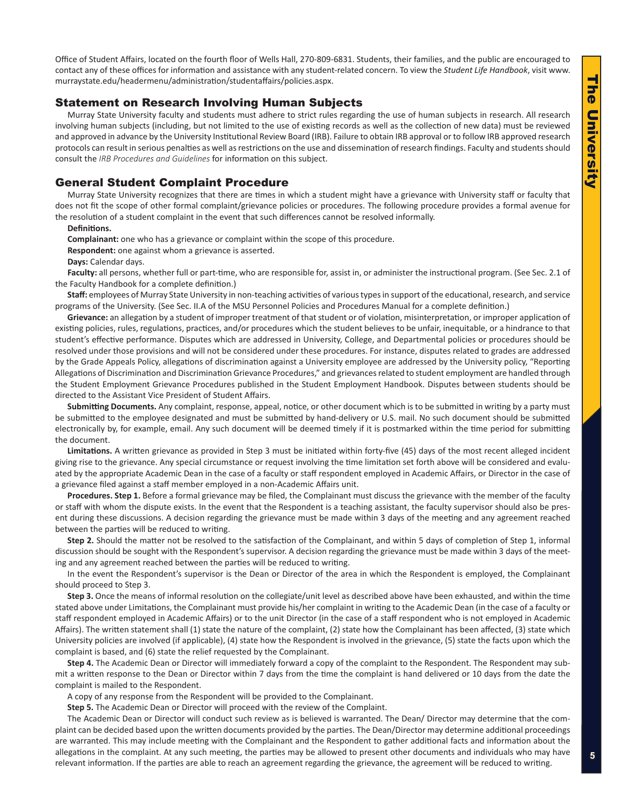Office of Student Affairs, located on the fourth floor of Wells Hall, 270-809-6831. Students, their families, and the public are encouraged to contact any of these offices for information and assistance with any student-related concern. To view the *Student Life Handbook*, visit www. murraystate.edu/headermenu/administration/studentaffairs/policies.aspx.

## Statement on Research Involving Human Subjects

Murray State University faculty and students must adhere to strict rules regarding the use of human subjects in research. All research involving human subjects (including, but not limited to the use of existing records as well as the collection of new data) must be reviewed and approved in advance by the University Institutional Review Board (IRB). Failure to obtain IRB approval or to follow IRB approved research protocols can result in serious penalties as well as restrictions on the use and dissemination of research findings. Faculty and students should consult the *IRB Procedures and Guidelines* for information on this subject.

## General Student Complaint Procedure

Murray State University recognizes that there are times in which a student might have a grievance with University staff or faculty that does not fit the scope of other formal complaint/grievance policies or procedures. The following procedure provides a formal avenue for the resolution of a student complaint in the event that such differences cannot be resolved informally.

### **Definitions.**

**Complainant:** one who has a grievance or complaint within the scope of this procedure.

**Respondent:** one against whom a grievance is asserted.

**Days:** Calendar days.

Faculty: all persons, whether full or part-time, who are responsible for, assist in, or administer the instructional program. (See Sec. 2.1 of the Faculty Handbook for a complete definition.)

**Staff:** employees of Murray State University in non-teaching activities of various types in support of the educational, research, and service programs of the University. (See Sec. II.A of the MSU Personnel Policies and Procedures Manual for a complete definition.)

**Grievance:** an allegation by a student of improper treatment of that student or of violation, misinterpretation, or improper application of existing policies, rules, regulations, practices, and/or procedures which the student believes to be unfair, inequitable, or a hindrance to that student's effective performance. Disputes which are addressed in University, College, and Departmental policies or procedures should be resolved under those provisions and will not be considered under these procedures. For instance, disputes related to grades are addressed by the Grade Appeals Policy, allegations of discrimination against a University employee are addressed by the University policy, "Reporting Allegations of Discrimination and Discrimination Grievance Procedures," and grievances related to student employment are handled through the Student Employment Grievance Procedures published in the Student Employment Handbook. Disputes between students should be directed to the Assistant Vice President of Student Affairs.

**Submitting Documents.** Any complaint, response, appeal, notice, or other document which is to be submitted in writing by a party must be submitted to the employee designated and must be submitted by hand-delivery or U.S. mail. No such document should be submitted electronically by, for example, email. Any such document will be deemed timely if it is postmarked within the time period for submitting the document.

**Limitations.** A written grievance as provided in Step 3 must be initiated within forty-five (45) days of the most recent alleged incident giving rise to the grievance. Any special circumstance or request involving the time limitation set forth above will be considered and evaluated by the appropriate Academic Dean in the case of a faculty or staff respondent employed in Academic Affairs, or Director in the case of a grievance filed against a staff member employed in a non-Academic Affairs unit.

**Procedures. Step 1.** Before a formal grievance may be filed, the Complainant must discuss the grievance with the member of the faculty or staff with whom the dispute exists. In the event that the Respondent is a teaching assistant, the faculty supervisor should also be present during these discussions. A decision regarding the grievance must be made within 3 days of the meeting and any agreement reached between the parties will be reduced to writing.

**Step 2.** Should the matter not be resolved to the satisfaction of the Complainant, and within 5 days of completion of Step 1, informal discussion should be sought with the Respondent's supervisor. A decision regarding the grievance must be made within 3 days of the meeting and any agreement reached between the parties will be reduced to writing.

In the event the Respondent's supervisor is the Dean or Director of the area in which the Respondent is employed, the Complainant should proceed to Step 3.

**Step 3.** Once the means of informal resolution on the collegiate/unit level as described above have been exhausted, and within the time stated above under Limitations, the Complainant must provide his/her complaint in writing to the Academic Dean (in the case of a faculty or staff respondent employed in Academic Affairs) or to the unit Director (in the case of a staff respondent who is not employed in Academic Affairs). The written statement shall (1) state the nature of the complaint, (2) state how the Complainant has been affected, (3) state which University policies are involved (if applicable), (4) state how the Respondent is involved in the grievance, (5) state the facts upon which the complaint is based, and (6) state the relief requested by the Complainant.

**Step 4.** The Academic Dean or Director will immediately forward a copy of the complaint to the Respondent. The Respondent may submit a written response to the Dean or Director within 7 days from the time the complaint is hand delivered or 10 days from the date the complaint is mailed to the Respondent.

A copy of any response from the Respondent will be provided to the Complainant.

**Step 5.** The Academic Dean or Director will proceed with the review of the Complaint.

The Academic Dean or Director will conduct such review as is believed is warranted. The Dean/ Director may determine that the complaint can be decided based upon the written documents provided by the parties. The Dean/Director may determine additional proceedings are warranted. This may include meeting with the Complainant and the Respondent to gather additional facts and information about the allegations in the complaint. At any such meeting, the parties may be allowed to present other documents and individuals who may have relevant information. If the parties are able to reach an agreement regarding the grievance, the agreement will be reduced to writing.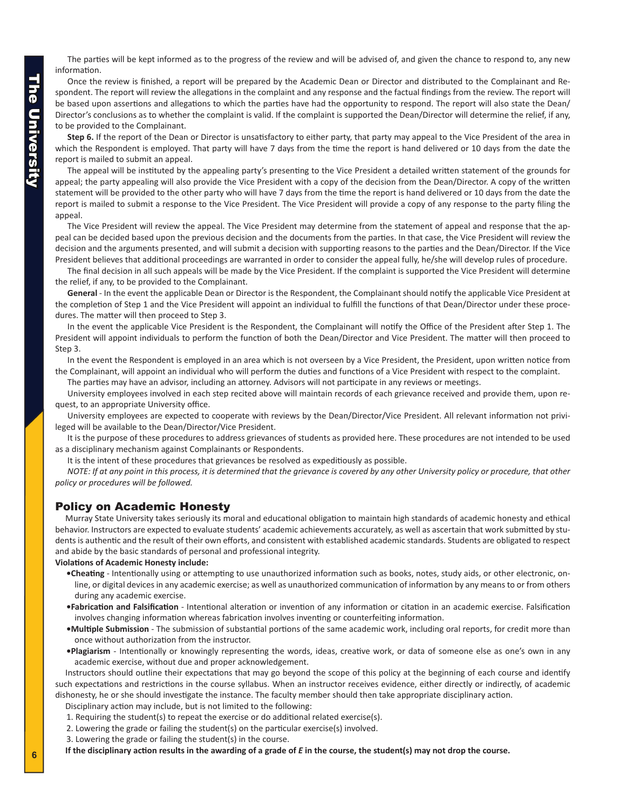<span id="page-5-0"></span>**The University** The University

The parties will be kept informed as to the progress of the review and will be advised of, and given the chance to respond to, any new information.

Once the review is finished, a report will be prepared by the Academic Dean or Director and distributed to the Complainant and Respondent. The report will review the allegations in the complaint and any response and the factual findings from the review. The report will be based upon assertions and allegations to which the parties have had the opportunity to respond. The report will also state the Dean/ Director's conclusions as to whether the complaint is valid. If the complaint is supported the Dean/Director will determine the relief, if any, to be provided to the Complainant.

**Step 6.** If the report of the Dean or Director is unsatisfactory to either party, that party may appeal to the Vice President of the area in which the Respondent is employed. That party will have 7 days from the time the report is hand delivered or 10 days from the date the report is mailed to submit an appeal.

The appeal will be instituted by the appealing party's presenting to the Vice President a detailed written statement of the grounds for appeal; the party appealing will also provide the Vice President with a copy of the decision from the Dean/Director. A copy of the written statement will be provided to the other party who will have 7 days from the time the report is hand delivered or 10 days from the date the report is mailed to submit a response to the Vice President. The Vice President will provide a copy of any response to the party filing the appeal.

The Vice President will review the appeal. The Vice President may determine from the statement of appeal and response that the appeal can be decided based upon the previous decision and the documents from the parties. In that case, the Vice President will review the decision and the arguments presented, and will submit a decision with supporting reasons to the parties and the Dean/Director. If the Vice President believes that additional proceedings are warranted in order to consider the appeal fully, he/she will develop rules of procedure.

The final decision in all such appeals will be made by the Vice President. If the complaint is supported the Vice President will determine the relief, if any, to be provided to the Complainant.

**General** - In the event the applicable Dean or Director is the Respondent, the Complainant should notify the applicable Vice President at the completion of Step 1 and the Vice President will appoint an individual to fulfill the functions of that Dean/Director under these procedures. The matter will then proceed to Step 3.

In the event the applicable Vice President is the Respondent, the Complainant will notify the Office of the President after Step 1. The President will appoint individuals to perform the function of both the Dean/Director and Vice President. The matter will then proceed to Step 3.

In the event the Respondent is employed in an area which is not overseen by a Vice President, the President, upon written notice from the Complainant, will appoint an individual who will perform the duties and functions of a Vice President with respect to the complaint.

The parties may have an advisor, including an attorney. Advisors will not participate in any reviews or meetings.

University employees involved in each step recited above will maintain records of each grievance received and provide them, upon request, to an appropriate University office.

University employees are expected to cooperate with reviews by the Dean/Director/Vice President. All relevant information not privileged will be available to the Dean/Director/Vice President.

It is the purpose of these procedures to address grievances of students as provided here. These procedures are not intended to be used as a disciplinary mechanism against Complainants or Respondents.

It is the intent of these procedures that grievances be resolved as expeditiously as possible.

*NOTE: If at any point in this process, it is determined that the grievance is covered by any other University policy or procedure, that other policy or procedures will be followed.* 

# Policy on Academic Honesty

Murray State University takes seriously its moral and educational obligation to maintain high standards of academic honesty and ethical behavior. Instructors are expected to evaluate students' academic achievements accurately, as well as ascertain that work submitted by students is authentic and the result of their own efforts, and consistent with established academic standards. Students are obligated to respect and abide by the basic standards of personal and professional integrity.

### **Violations of Academic Honesty include:**

- **•Cheating** Intentionally using or attempting to use unauthorized information such as books, notes, study aids, or other electronic, online, or digital devices in any academic exercise; as well as unauthorized communication of information by any means to or from others during any academic exercise.
- **•Fabrication and Falsification** Intentional alteration or invention of any information or citation in an academic exercise. Falsification involves changing information whereas fabrication involves inventing or counterfeiting information.
- **•Multiple Submission** The submission of substantial portions of the same academic work, including oral reports, for credit more than once without authorization from the instructor.
- **•Plagiarism** Intentionally or knowingly representing the words, ideas, creative work, or data of someone else as one's own in any academic exercise, without due and proper acknowledgement.

Instructors should outline their expectations that may go beyond the scope of this policy at the beginning of each course and identify such expectations and restrictions in the course syllabus. When an instructor receives evidence, either directly or indirectly, of academic dishonesty, he or she should investigate the instance. The faculty member should then take appropriate disciplinary action.

Disciplinary action may include, but is not limited to the following:

1. Requiring the student(s) to repeat the exercise or do additional related exercise(s).

- 2. Lowering the grade or failing the student(s) on the particular exercise(s) involved.
- 3. Lowering the grade or failing the student(s) in the course.

If the disciplinary action results in the awarding of a grade of *E* in the course, the student(s) may not drop the course.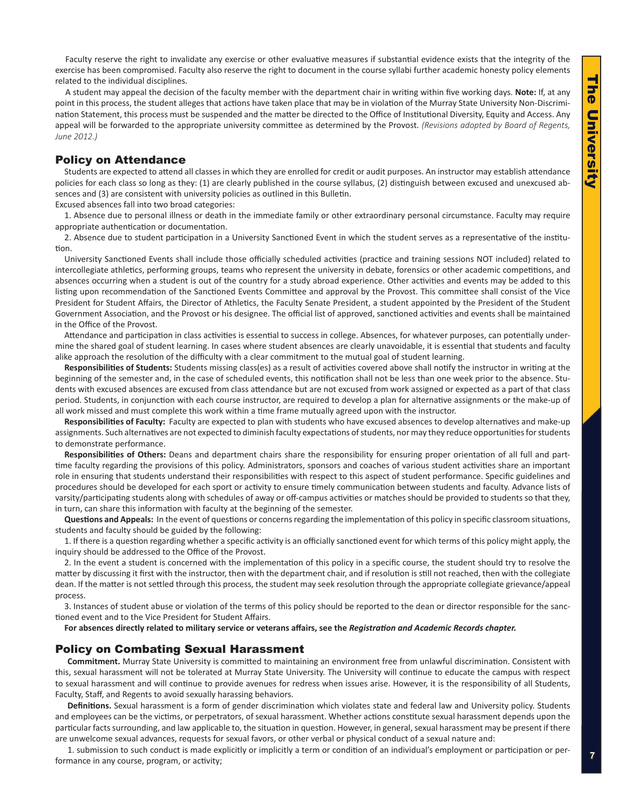Faculty reserve the right to invalidate any exercise or other evaluative measures if substantial evidence exists that the integrity of the exercise has been compromised. Faculty also reserve the right to document in the course syllabi further academic honesty policy elements related to the individual disciplines.

A student may appeal the decision of the faculty member with the department chair in writing within five working days. **Note:** If, at any point in this process, the student alleges that actions have taken place that may be in violation of the Murray State University Non-Discrimination Statement, this process must be suspended and the matter be directed to the Office of Institutional Diversity, Equity and Access. Any appeal will be forwarded to the appropriate university committee as determined by the Provost. *(Revisions adopted by Board of Regents, June 2012.)*

# Policy on Attendance

Students are expected to attend all classes in which they are enrolled for credit or audit purposes. An instructor may establish attendance policies for each class so long as they: (1) are clearly published in the course syllabus, (2) distinguish between excused and unexcused absences and (3) are consistent with university policies as outlined in this Bulletin.

Excused absences fall into two broad categories:

1. Absence due to personal illness or death in the immediate family or other extraordinary personal circumstance. Faculty may require appropriate authentication or documentation.

2. Absence due to student participation in a University Sanctioned Event in which the student serves as a representative of the institution.

University Sanctioned Events shall include those officially scheduled activities (practice and training sessions NOT included) related to intercollegiate athletics, performing groups, teams who represent the university in debate, forensics or other academic competitions, and absences occurring when a student is out of the country for a study abroad experience. Other activities and events may be added to this listing upon recommendation of the Sanctioned Events Committee and approval by the Provost. This committee shall consist of the Vice President for Student Affairs, the Director of Athletics, the Faculty Senate President, a student appointed by the President of the Student Government Association, and the Provost or his designee. The official list of approved, sanctioned activities and events shall be maintained in the Office of the Provost.

Attendance and participation in class activities is essential to success in college. Absences, for whatever purposes, can potentially undermine the shared goal of student learning. In cases where student absences are clearly unavoidable, it is essential that students and faculty alike approach the resolution of the difficulty with a clear commitment to the mutual goal of student learning.

**Responsibilities of Students:** Students missing class(es) as a result of activities covered above shall notify the instructor in writing at the beginning of the semester and, in the case of scheduled events, this notification shall not be less than one week prior to the absence. Students with excused absences are excused from class attendance but are not excused from work assigned or expected as a part of that class period. Students, in conjunction with each course instructor, are required to develop a plan for alternative assignments or the make-up of all work missed and must complete this work within a time frame mutually agreed upon with the instructor.

**Responsibilities of Faculty:** Faculty are expected to plan with students who have excused absences to develop alternatives and make-up assignments. Such alternatives are not expected to diminish faculty expectations of students, nor may they reduce opportunities for students to demonstrate performance.

**Responsibilities of Others:** Deans and department chairs share the responsibility for ensuring proper orientation of all full and parttime faculty regarding the provisions of this policy. Administrators, sponsors and coaches of various student activities share an important role in ensuring that students understand their responsibilities with respect to this aspect of student performance. Specific guidelines and procedures should be developed for each sport or activity to ensure timely communication between students and faculty. Advance lists of varsity/participating students along with schedules of away or off-campus activities or matches should be provided to students so that they, in turn, can share this information with faculty at the beginning of the semester.

**Questions and Appeals:** In the event of questions or concerns regarding the implementation of this policy in specific classroom situations, students and faculty should be guided by the following:

1. If there is a question regarding whether a specific activity is an officially sanctioned event for which terms of this policy might apply, the inquiry should be addressed to the Office of the Provost.

2. In the event a student is concerned with the implementation of this policy in a specific course, the student should try to resolve the matter by discussing it first with the instructor, then with the department chair, and if resolution is still not reached, then with the collegiate dean. If the matter is not settled through this process, the student may seek resolution through the appropriate collegiate grievance/appeal process.

3. Instances of student abuse or violation of the terms of this policy should be reported to the dean or director responsible for the sanctioned event and to the Vice President for Student Affairs.

**For absences directly related to military service or veterans affairs, see the** *Registration and Academic Records chapter.* 

# Policy on Combating Sexual Harassment

**Commitment.** Murray State University is committed to maintaining an environment free from unlawful discrimination. Consistent with this, sexual harassment will not be tolerated at Murray State University. The University will continue to educate the campus with respect to sexual harassment and will continue to provide avenues for redress when issues arise. However, it is the responsibility of all Students, Faculty, Staff, and Regents to avoid sexually harassing behaviors.

**Definitions.** Sexual harassment is a form of gender discrimination which violates state and federal law and University policy. Students and employees can be the victims, or perpetrators, of sexual harassment. Whether actions constitute sexual harassment depends upon the particular facts surrounding, and law applicable to, the situation in question. However, in general, sexual harassment may be present if there are unwelcome sexual advances, requests for sexual favors, or other verbal or physical conduct of a sexual nature and:

1. submission to such conduct is made explicitly or implicitly a term or condition of an individual's employment or participation or performance in any course, program, or activity;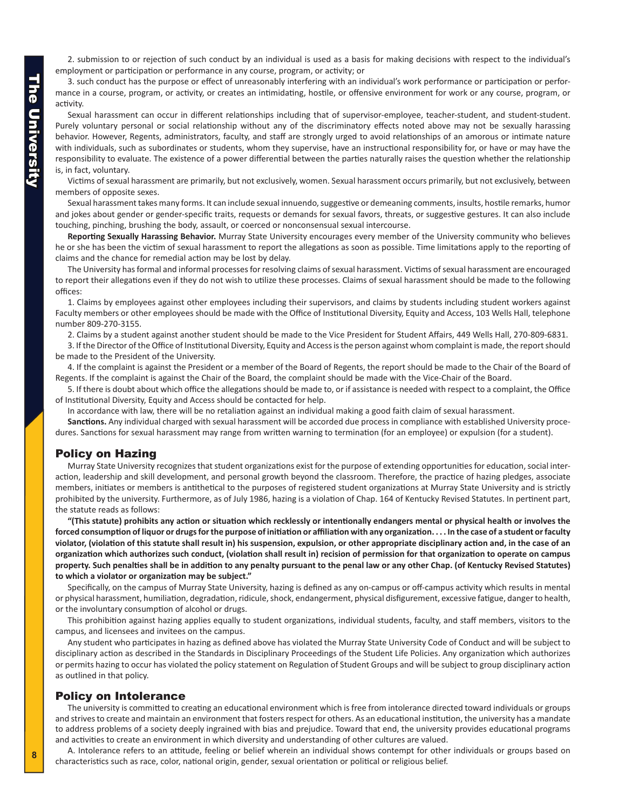2. submission to or rejection of such conduct by an individual is used as a basis for making decisions with respect to the individual's employment or participation or performance in any course, program, or activity; or

3. such conduct has the purpose or effect of unreasonably interfering with an individual's work performance or participation or performance in a course, program, or activity, or creates an intimidating, hostile, or offensive environment for work or any course, program, or activity.

Sexual harassment can occur in different relationships including that of supervisor-employee, teacher-student, and student-student. Purely voluntary personal or social relationship without any of the discriminatory effects noted above may not be sexually harassing behavior. However, Regents, administrators, faculty, and staff are strongly urged to avoid relationships of an amorous or intimate nature with individuals, such as subordinates or students, whom they supervise, have an instructional responsibility for, or have or may have the responsibility to evaluate. The existence of a power differential between the parties naturally raises the question whether the relationship is, in fact, voluntary.

Victims of sexual harassment are primarily, but not exclusively, women. Sexual harassment occurs primarily, but not exclusively, between members of opposite sexes.

Sexual harassment takes many forms. It can include sexual innuendo, suggestive or demeaning comments, insults, hostile remarks, humor and jokes about gender or gender-specific traits, requests or demands for sexual favors, threats, or suggestive gestures. It can also include touching, pinching, brushing the body, assault, or coerced or nonconsensual sexual intercourse.

**Reporting Sexually Harassing Behavior.** Murray State University encourages every member of the University community who believes he or she has been the victim of sexual harassment to report the allegations as soon as possible. Time limitations apply to the reporting of claims and the chance for remedial action may be lost by delay.

The University has formal and informal processes for resolving claims of sexual harassment. Victims of sexual harassment are encouraged to report their allegations even if they do not wish to utilize these processes. Claims of sexual harassment should be made to the following offices:

1. Claims by employees against other employees including their supervisors, and claims by students including student workers against Faculty members or other employees should be made with the Office of Institutional Diversity, Equity and Access, 103 Wells Hall, telephone number 809-270-3155.

2. Claims by a student against another student should be made to the Vice President for Student Affairs, 449 Wells Hall, 270-809-6831.

3. If the Director of the Office of Institutional Diversity, Equity and Access is the person against whom complaint is made, the report should be made to the President of the University.

4. If the complaint is against the President or a member of the Board of Regents, the report should be made to the Chair of the Board of Regents. If the complaint is against the Chair of the Board, the complaint should be made with the Vice-Chair of the Board.

5. If there is doubt about which office the allegations should be made to, or if assistance is needed with respect to a complaint, the Office of Institutional Diversity, Equity and Access should be contacted for help.

In accordance with law, there will be no retaliation against an individual making a good faith claim of sexual harassment.

**Sanctions.** Any individual charged with sexual harassment will be accorded due process in compliance with established University procedures. Sanctions for sexual harassment may range from written warning to termination (for an employee) or expulsion (for a student).

### Policy on Hazing

Murray State University recognizes that student organizations exist for the purpose of extending opportunities for education, social interaction, leadership and skill development, and personal growth beyond the classroom. Therefore, the practice of hazing pledges, associate members, initiates or members is antithetical to the purposes of registered student organizations at Murray State University and is strictly prohibited by the university. Furthermore, as of July 1986, hazing is a violation of Chap. 164 of Kentucky Revised Statutes. In pertinent part, the statute reads as follows:

**"(This statute) prohibits any action or situation which recklessly or intentionally endangers mental or physical health or involves the forced consumption of liquor or drugs for the purpose of initiation or affiliation with any organization. . . . In the case of a student or faculty violator, (violation of this statute shall result in) his suspension, expulsion, or other appropriate disciplinary action and, in the case of an organization which authorizes such conduct, (violation shall result in) recision of permission for that organization to operate on campus property. Such penalties shall be in addition to any penalty pursuant to the penal law or any other Chap. (of Kentucky Revised Statutes) to which a violator or organization may be subject."**

Specifically, on the campus of Murray State University, hazing is defined as any on-campus or off-campus activity which results in mental or physical harassment, humiliation, degradation, ridicule, shock, endangerment, physical disfigurement, excessive fatigue, danger to health, or the involuntary consumption of alcohol or drugs.

This prohibition against hazing applies equally to student organizations, individual students, faculty, and staff members, visitors to the campus, and licensees and invitees on the campus.

Any student who participates in hazing as defined above has violated the Murray State University Code of Conduct and will be subject to disciplinary action as described in the Standards in Disciplinary Proceedings of the Student Life Policies. Any organization which authorizes or permits hazing to occur has violated the policy statement on Regulation of Student Groups and will be subject to group disciplinary action as outlined in that policy.

### Policy on Intolerance

The university is committed to creating an educational environment which is free from intolerance directed toward individuals or groups and strives to create and maintain an environment that fosters respect for others. As an educational institution, the university has a mandate to address problems of a society deeply ingrained with bias and prejudice. Toward that end, the university provides educational programs and activities to create an environment in which diversity and understanding of other cultures are valued.

A. Intolerance refers to an attitude, feeling or belief wherein an individual shows contempt for other individuals or groups based on characteristics such as race, color, national origin, gender, sexual orientation or political or religious belief.